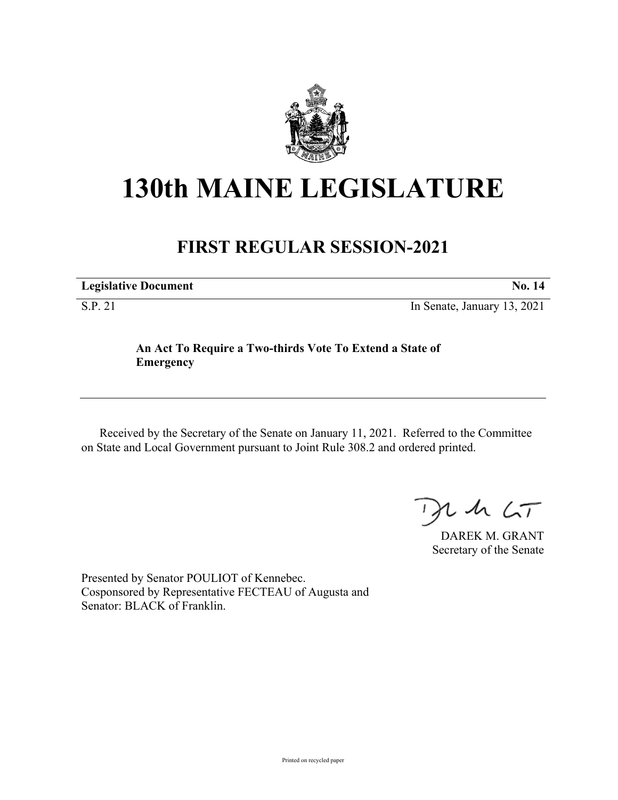

## **130th MAINE LEGISLATURE**

## **FIRST REGULAR SESSION-2021**

**Legislative Document No. 14**

S.P. 21 In Senate, January 13, 2021

## **An Act To Require a Two-thirds Vote To Extend a State of Emergency**

Received by the Secretary of the Senate on January 11, 2021. Referred to the Committee on State and Local Government pursuant to Joint Rule 308.2 and ordered printed.

 $425$ 

DAREK M. GRANT Secretary of the Senate

Presented by Senator POULIOT of Kennebec. Cosponsored by Representative FECTEAU of Augusta and Senator: BLACK of Franklin.